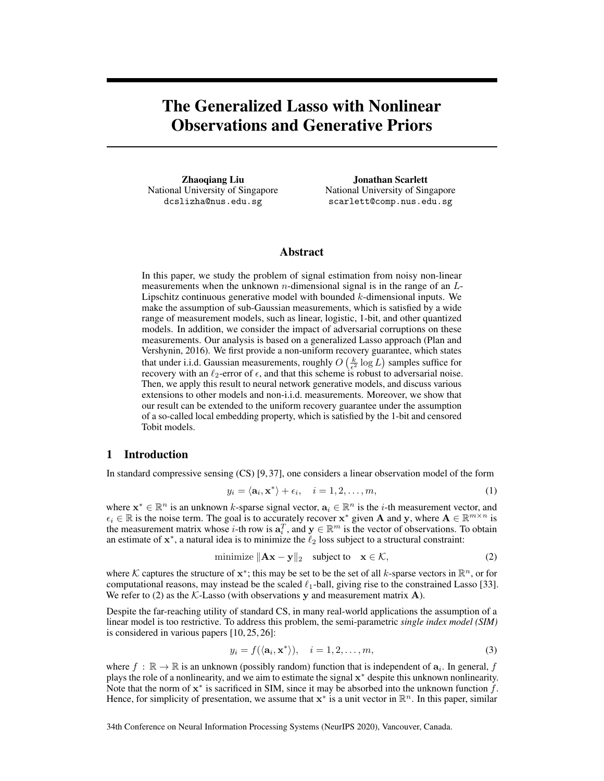# The Generalized Lasso with Nonlinear Observations and Generative Priors

Zhaoqiang Liu National University of Singapore dcslizha@nus.edu.sg

Jonathan Scarlett National University of Singapore scarlett@comp.nus.edu.sg

## Abstract

In this paper, we study the problem of signal estimation from noisy non-linear measurements when the unknown *n*-dimensional signal is in the range of an  $L$ -Lipschitz continuous generative model with bounded  $k$ -dimensional inputs. We make the assumption of sub-Gaussian measurements, which is satisfied by a wide range of measurement models, such as linear, logistic, 1-bit, and other quantized models. In addition, we consider the impact of adversarial corruptions on these measurements. Our analysis is based on a generalized Lasso approach (Plan and Vershynin, 2016). We first provide a non-uniform recovery guarantee, which states that under i.i.d. Gaussian measurements, roughly  $O\left(\frac{k}{\epsilon^2} \log L\right)$  samples suffice for recovery with an  $\ell_2$ -error of  $\epsilon$ , and that this scheme is robust to adversarial noise. Then, we apply this result to neural network generative models, and discuss various extensions to other models and non-i.i.d. measurements. Moreover, we show that our result can be extended to the uniform recovery guarantee under the assumption of a so-called local embedding property, which is satisfied by the 1-bit and censored Tobit models.

# 1 Introduction

In standard compressive sensing (CS) [\[9,](#page-9-0) [37\]](#page-10-0), one considers a linear observation model of the form

$$
y_i = \langle \mathbf{a}_i, \mathbf{x}^* \rangle + \epsilon_i, \quad i = 1, 2, \dots, m,
$$
 (1)

where  $\mathbf{x}^* \in \mathbb{R}^n$  is an unknown k-sparse signal vector,  $\mathbf{a}_i \in \mathbb{R}^n$  is the *i*-th measurement vector, and  $\epsilon_i \in \mathbb{R}$  is the noise term. The goal is to accurately recover  $\mathbf{x}^*$  given **A** and **y**, where  $\mathbf{A} \in \mathbb{R}^{m \times n}$  is the measurement matrix whose *i*-th row is  $a_i^T$ , and  $y \in \mathbb{R}^m$  is the vector of observations. To obtain an estimate of  $x^*$ , a natural idea is to minimize the  $\ell_2$  loss subject to a structural constraint:

<span id="page-0-0"></span>minimize 
$$
\|\mathbf{A}\mathbf{x} - \mathbf{y}\|_2
$$
 subject to  $\mathbf{x} \in \mathcal{K}$ , (2)

where K captures the structure of  $x^*$ ; this may be set to be the set of all k-sparse vectors in  $\mathbb{R}^n$ , or for computational reasons, may instead be the scaled  $\ell_1$ -ball, giving rise to the constrained Lasso [\[33\]](#page-10-1). We refer to [\(2\)](#page-0-0) as the  $K$ -Lasso (with observations y and measurement matrix  $A$ ).

Despite the far-reaching utility of standard CS, in many real-world applications the assumption of a linear model is too restrictive. To address this problem, the semi-parametric *single index model (SIM)* is considered in various papers [\[10,](#page-9-1) [25,](#page-10-2) [26\]](#page-10-3):

<span id="page-0-1"></span>
$$
y_i = f(\langle \mathbf{a}_i, \mathbf{x}^* \rangle), \quad i = 1, 2, \dots, m,
$$
\n(3)

where  $f : \mathbb{R} \to \mathbb{R}$  is an unknown (possibly random) function that is independent of  $a_i$ . In general, f plays the role of a nonlinearity, and we aim to estimate the signal  $x^*$  despite this unknown nonlinearity. Note that the norm of  $x^*$  is sacrificed in SIM, since it may be absorbed into the unknown function  $f$ . Hence, for simplicity of presentation, we assume that  $x^*$  is a unit vector in  $\mathbb{R}^n$ . In this paper, similar

34th Conference on Neural Information Processing Systems (NeurIPS 2020), Vancouver, Canada.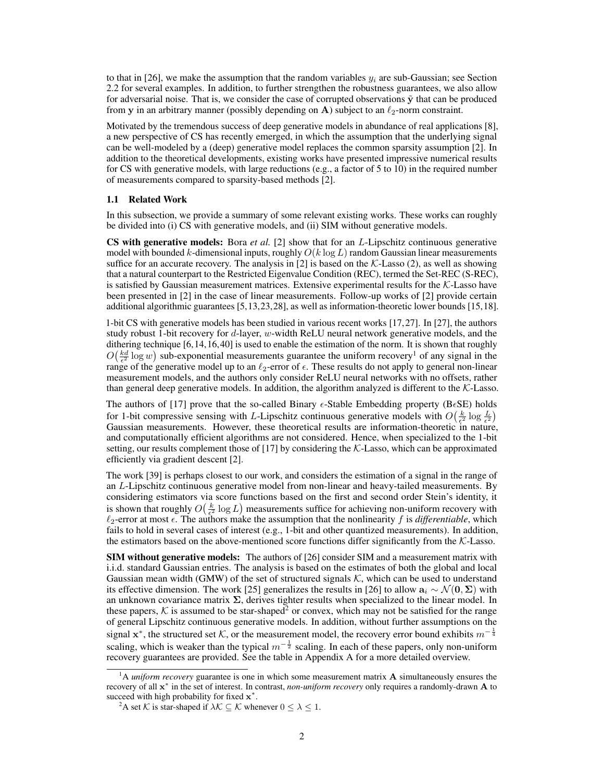to that in [\[26\]](#page-10-3), we make the assumption that the random variables  $y_i$  are sub-Gaussian; see Section [2.2](#page-3-0) for several examples. In addition, to further strengthen the robustness guarantees, we also allow for adversarial noise. That is, we consider the case of corrupted observations  $\tilde{y}$  that can be produced from y in an arbitrary manner (possibly depending on A) subject to an  $\ell_2$ -norm constraint.

Motivated by the tremendous success of deep generative models in abundance of real applications [\[8\]](#page-9-2), a new perspective of CS has recently emerged, in which the assumption that the underlying signal can be well-modeled by a (deep) generative model replaces the common sparsity assumption [\[2\]](#page-9-3). In addition to the theoretical developments, existing works have presented impressive numerical results for CS with generative models, with large reductions (e.g., a factor of 5 to 10) in the required number of measurements compared to sparsity-based methods [\[2\]](#page-9-3).

#### 1.1 Related Work

In this subsection, we provide a summary of some relevant existing works. These works can roughly be divided into (i) CS with generative models, and (ii) SIM without generative models.

CS with generative models: Bora *et al.* [\[2\]](#page-9-3) show that for an L-Lipschitz continuous generative model with bounded k-dimensional inputs, roughly  $O(k \log L)$  random Gaussian linear measurements suffice for an accurate recovery. The analysis in [\[2\]](#page-9-3) is based on the  $K$ -Lasso [\(2\)](#page-0-0), as well as showing that a natural counterpart to the Restricted Eigenvalue Condition (REC), termed the Set-REC (S-REC), is satisfied by Gaussian measurement matrices. Extensive experimental results for the  $K$ -Lasso have been presented in [\[2\]](#page-9-3) in the case of linear measurements. Follow-up works of [\[2\]](#page-9-3) provide certain additional algorithmic guarantees [\[5](#page-9-4)[,13,](#page-9-5)[23,](#page-10-4)[28\]](#page-10-5), as well as information-theoretic lower bounds [\[15,](#page-9-6)[18\]](#page-10-6).

1-bit CS with generative models has been studied in various recent works [\[17,](#page-10-7)[27\]](#page-10-8). In [\[27\]](#page-10-8), the authors study robust 1-bit recovery for  $d$ -layer, w-width ReLU neural network generative models, and the dithering technique [\[6,](#page-9-7)[14,](#page-9-8)[16,](#page-10-9)[40\]](#page-10-10) is used to enable the estimation of the norm. It is shown that roughly  $O(\frac{kd}{\epsilon^2} \log w)$  sub-exponential measurements guarantee the uniform recovery<sup>[1](#page-1-0)</sup> of any signal in the range of the generative model up to an  $\ell_2$ -error of  $\epsilon$ . These results do not apply to general non-linear measurement models, and the authors only consider ReLU neural networks with no offsets, rather than general deep generative models. In addition, the algorithm analyzed is different to the  $K$ -Lasso.

The authors of [\[17\]](#page-10-7) prove that the so-called Binary  $\epsilon$ -Stable Embedding property (B $\epsilon$ SE) holds for 1-bit compressive sensing with L-Lipschitz continuous generative models with  $O(\frac{k}{\epsilon^2} \log \frac{L}{\epsilon^2})$ Gaussian measurements. However, these theoretical results are information-theoretic in nature, and computationally efficient algorithms are not considered. Hence, when specialized to the 1-bit setting, our results complement those of [\[17\]](#page-10-7) by considering the K-Lasso, which can be approximated efficiently via gradient descent [\[2\]](#page-9-3).

The work [\[39\]](#page-10-11) is perhaps closest to our work, and considers the estimation of a signal in the range of an L-Lipschitz continuous generative model from non-linear and heavy-tailed measurements. By considering estimators via score functions based on the first and second order Stein's identity, it is shown that roughly  $O(\frac{k}{\epsilon^2} \log L)$  measurements suffice for achieving non-uniform recovery with  $\ell_2$ -error at most  $\epsilon$ . The authors make the assumption that the nonlinearity f is *differentiable*, which fails to hold in several cases of interest (e.g., 1-bit and other quantized measurements). In addition, the estimators based on the above-mentioned score functions differ significantly from the  $K$ -Lasso.

**SIM without generative models:** The authors of [\[26\]](#page-10-3) consider SIM and a measurement matrix with i.i.d. standard Gaussian entries. The analysis is based on the estimates of both the global and local Gaussian mean width (GMW) of the set of structured signals  $K$ , which can be used to understand its effective dimension. The work [\[25\]](#page-10-2) generalizes the results in [\[26\]](#page-10-3) to allow  $a_i \sim \mathcal{N}(0, \Sigma)$  with an unknown covariance matrix  $\Sigma$ , derives tighter results when specialized to the linear model. In these papers, K is assumed to be star-shaped<sup>[2](#page-1-1)</sup> or convex, which may not be satisfied for the range of general Lipschitz continuous generative models. In addition, without further assumptions on the signal  $\mathbf{x}^*$ , the structured set K, or the measurement model, the recovery error bound exhibits  $m^{-\frac{1}{4}}$ scaling, which is weaker than the typical  $m^{-\frac{1}{2}}$  scaling. In each of these papers, only non-uniform recovery guarantees are provided. See the table in Appendix [A](#page--1-0) for a more detailed overview.

<span id="page-1-0"></span><sup>1</sup>A *uniform recovery* guarantee is one in which some measurement matrix A simultaneously ensures the recovery of all x ∗ in the set of interest. In contrast, *non-uniform recovery* only requires a randomly-drawn A to succeed with high probability for fixed  $\mathbf{x}^*$ .

<span id="page-1-1"></span><sup>&</sup>lt;sup>2</sup>A set K is star-shaped if  $\lambda \mathcal{K} \subseteq \mathcal{K}$  whenever  $0 \leq \lambda \leq 1$ .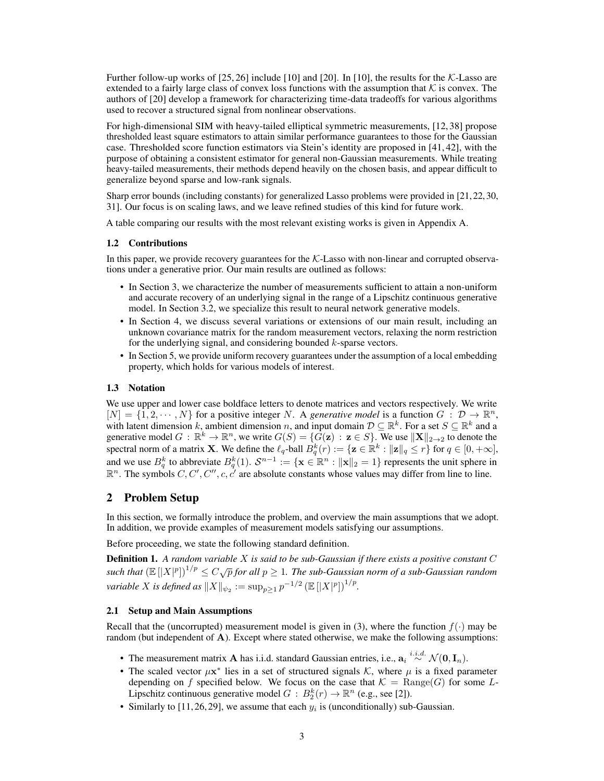Further follow-up works of  $[25, 26]$  $[25, 26]$  $[25, 26]$  include [\[10\]](#page-9-1) and [\[20\]](#page-10-12). In [10], the results for the K-Lasso are extended to a fairly large class of convex loss functions with the assumption that  $K$  is convex. The authors of [\[20\]](#page-10-12) develop a framework for characterizing time-data tradeoffs for various algorithms used to recover a structured signal from nonlinear observations.

For high-dimensional SIM with heavy-tailed elliptical symmetric measurements, [\[12,](#page-9-9) [38\]](#page-10-13) propose thresholded least square estimators to attain similar performance guarantees to those for the Gaussian case. Thresholded score function estimators via Stein's identity are proposed in [\[41,](#page-11-0) [42\]](#page-11-1), with the purpose of obtaining a consistent estimator for general non-Gaussian measurements. While treating heavy-tailed measurements, their methods depend heavily on the chosen basis, and appear difficult to generalize beyond sparse and low-rank signals.

Sharp error bounds (including constants) for generalized Lasso problems were provided in [\[21,](#page-10-14)[22,](#page-10-15)[30,](#page-10-16) [31\]](#page-10-17). Our focus is on scaling laws, and we leave refined studies of this kind for future work.

A table comparing our results with the most relevant existing works is given in Appendix [A.](#page--1-0)

#### 1.2 Contributions

In this paper, we provide recovery guarantees for the  $K$ -Lasso with non-linear and corrupted observations under a generative prior. Our main results are outlined as follows:

- In Section [3,](#page-3-1) we characterize the number of measurements sufficient to attain a non-uniform and accurate recovery of an underlying signal in the range of a Lipschitz continuous generative model. In Section [3.2,](#page-6-0) we specialize this result to neural network generative models.
- In Section [4,](#page-7-0) we discuss several variations or extensions of our main result, including an unknown covariance matrix for the random measurement vectors, relaxing the norm restriction for the underlying signal, and considering bounded  $k$ -sparse vectors.
- In Section [5,](#page-7-1) we provide uniform recovery guarantees under the assumption of a local embedding property, which holds for various models of interest.

## 1.3 Notation

We use upper and lower case boldface letters to denote matrices and vectors respectively. We write  $[N] = \{1, 2, \cdots, N\}$  for a positive integer N. A *generative model* is a function  $G: \mathcal{D} \to \mathbb{R}^n$ , with latent dimension k, ambient dimension n, and input domain  $D \subseteq \mathbb{R}^k$ . For a set  $S \subseteq \mathbb{R}^k$  and a generative model  $G : \mathbb{R}^k \to \mathbb{R}^n$ , we write  $G(S) = \{ \overline{G}(\mathbf{z}) : \mathbf{z} \in S \}$ . We use  $\|\mathbf{X}\|_{2\to 2}$  to denote the spectral norm of a matrix **X**. We define the  $\ell_q$ -ball  $B^k_q(r) := \{ \mathbf{z} \in \mathbb{R}^k : ||\mathbf{z}||_q \leq r \}$  for  $q \in [0, +\infty]$ , and we use  $B_q^k$  to abbreviate  $B_q^k(1)$ .  $S^{n-1} := \{ \mathbf{x} \in \mathbb{R}^n : ||\mathbf{x}||_2 = 1 \}$  represents the unit sphere in  $\mathbb{R}^n$ . The symbols  $C, C', C'', c, c'$  are absolute constants whose values may differ from line to line.

## 2 Problem Setup

In this section, we formally introduce the problem, and overview the main assumptions that we adopt. In addition, we provide examples of measurement models satisfying our assumptions.

Before proceeding, we state the following standard definition.

Definition 1. *A random variable* X *is said to be sub-Gaussian if there exists a positive constant* C **Example 1.** It remains variable 11 is such to be sub-Gaussian by there exists a positive constant  $\sigma$  such that  $(\mathbb{E}[|X|^p])^{1/p} \le C\sqrt{p}$  for all  $p \ge 1$ . The sub-Gaussian norm of a sub-Gaussian random *variable*  $X$  *is defined as*  $\|X\|_{\psi_2} := \sup_{p\geq 1} p^{-1/2} \left(\mathbb{E}\left[|X|^p\right]\right)^{1/p}$ .

#### <span id="page-2-0"></span>2.1 Setup and Main Assumptions

Recall that the (uncorrupted) measurement model is given in [\(3\)](#page-0-1), where the function  $f(\cdot)$  may be random (but independent of A). Except where stated otherwise, we make the following assumptions:

- The measurement matrix A has i.i.d. standard Gaussian entries, i.e.,  $a_i \stackrel{i.i.d.}{\sim} \mathcal{N}(0, I_n)$ .
- The scaled vector  $\mu x^*$  lies in a set of structured signals K, where  $\mu$  is a fixed parameter depending on f specified below. We focus on the case that  $K = \text{Range}(G)$  for some L-Lipschitz continuous generative model  $G : B_2^k(r) \to \mathbb{R}^n$  (e.g., see [\[2\]](#page-9-3)).
- Similarly to [\[11,](#page-9-10) [26,](#page-10-3) [29\]](#page-10-18), we assume that each  $y_i$  is (unconditionally) sub-Gaussian.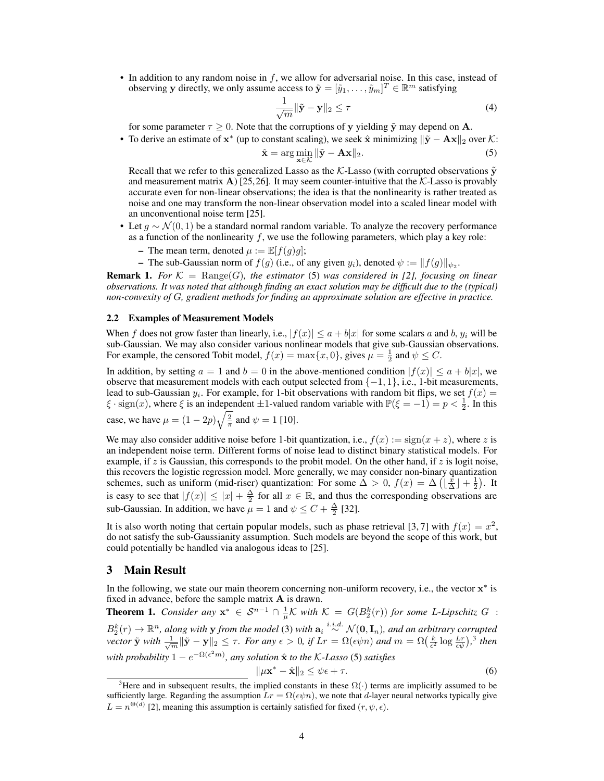• In addition to any random noise in  $f$ , we allow for adversarial noise. In this case, instead of observing y directly, we only assume access to  $\tilde{\mathbf{y}} = [\tilde{y}_1, \dots, \tilde{y}_m]^T \in \mathbb{R}^m$  satisfying

$$
\frac{1}{\sqrt{m}} \|\tilde{\mathbf{y}} - \mathbf{y}\|_2 \le \tau \tag{4}
$$

for some parameter  $\tau \geq 0$ . Note that the corruptions of y yielding  $\tilde{y}$  may depend on A.

• To derive an estimate of  $x^*$  (up to constant scaling), we seek  $\hat{x}$  minimizing  $\|\tilde{y} - Ax\|_2$  over K:

<span id="page-3-2"></span>
$$
\hat{\mathbf{x}} = \arg\min_{\mathbf{x} \in \mathcal{K}} \|\tilde{\mathbf{y}} - \mathbf{A}\mathbf{x}\|_2.
$$
 (5)

Recall that we refer to this generalized Lasso as the K-Lasso (with corrupted observations  $\tilde{v}$ and measurement matrix A) [\[25,](#page-10-2)[26\]](#page-10-3). It may seem counter-intuitive that the  $K$ -Lasso is provably accurate even for non-linear observations; the idea is that the nonlinearity is rather treated as noise and one may transform the non-linear observation model into a scaled linear model with an unconventional noise term [\[25\]](#page-10-2).

- Let  $q \sim \mathcal{N}(0, 1)$  be a standard normal random variable. To analyze the recovery performance as a function of the nonlinearity  $f$ , we use the following parameters, which play a key role:
	- The mean term, denoted  $\mu := \mathbb{E}[f(q)g];$
	- The sub-Gaussian norm of  $f(g)$  (i.e., of any given  $y_i$ ), denoted  $\psi := \|f(g)\|_{\psi_2}$ .

**Remark 1.** For  $K = \text{Range}(G)$ , the estimator [\(5\)](#page-3-2) was considered in [\[2\]](#page-9-3), focusing on linear *observations. It was noted that although finding an exact solution may be difficult due to the (typical) non-convexity of* G*, gradient methods for finding an approximate solution are effective in practice.*

#### <span id="page-3-0"></span>2.2 Examples of Measurement Models

When f does not grow faster than linearly, i.e.,  $|f(x)| \le a + b|x|$  for some scalars a and b,  $y_i$  will be sub-Gaussian. We may also consider various nonlinear models that give sub-Gaussian observations. For example, the censored Tobit model,  $f(x) = \max\{x, 0\}$ , gives  $\mu = \frac{1}{2}$  and  $\psi \leq C$ .

In addition, by setting  $a = 1$  and  $b = 0$  in the above-mentioned condition  $|f(x)| \le a + b|x|$ , we observe that measurement models with each output selected from  $\{-1, 1\}$ , i.e., 1-bit measurements, lead to sub-Gaussian  $y_i$ . For example, for 1-bit observations with random bit flips, we set  $f(x)$  $\xi$  · sign(x), where  $\xi$  is an independent  $\pm 1$ -valued random variable with  $\mathbb{P}(\xi = -1) = p < \frac{1}{2}$ . In this case, we have  $\mu = (1 - 2p)\sqrt{\frac{2}{\pi}}$  and  $\psi = 1$  [\[10\]](#page-9-1).

We may also consider additive noise before 1-bit quantization, i.e.,  $f(x) := sign(x + z)$ , where z is an independent noise term. Different forms of noise lead to distinct binary statistical models. For example, if z is Gaussian, this corresponds to the probit model. On the other hand, if z is logit noise, this recovers the logistic regression model. More generally, we may consider non-binary quantization schemes, such as uniform (mid-riser) quantization: For some  $\Delta > 0$ ,  $f(x) = \Delta \left( \left\lfloor \frac{x}{\Delta} \right\rfloor + \frac{1}{2} \right)$ . It is easy to see that  $|f(x)| \le |x| + \frac{\Delta}{2}$  for all  $x \in \mathbb{R}$ , and thus the corresponding observations are sub-Gaussian. In addition, we have  $\mu = 1$  and  $\psi \le C + \frac{\Delta}{2}$  [\[32\]](#page-10-19).

It is also worth noting that certain popular models, such as phase retrieval [\[3,](#page-9-11)[7\]](#page-9-12) with  $f(x) = x^2$ , do not satisfy the sub-Gaussianity assumption. Such models are beyond the scope of this work, but could potentially be handled via analogous ideas to [\[25\]](#page-10-2).

## <span id="page-3-1"></span>3 Main Result

In the following, we state our main theorem concerning non-uniform recovery, i.e., the vector  $x^*$  is fixed in advance, before the sample matrix A is drawn.

<span id="page-3-4"></span>**Theorem 1.** *Consider any*  $x^* \in S^{n-1} \cap \frac{1}{\mu}K$  with  $K = G(B_2^k(r))$  for some L-Lipschitz  $G$ :  $B_2^k(r) \to \mathbb{R}^n$ , along with y from the model [\(3\)](#page-0-1) with  $a_i \stackrel{i.i.d.}{\sim} \mathcal{N}(\mathbf{0}, \mathbf{I}_n)$ , and an arbitrary corrupted *vector*  $\tilde{\bf{y}}$  *with*  $\frac{1}{\sqrt{m}} \|\tilde{\bf{y}} - {\bf y}\|_2 \le \tau$ *. For any*  $\epsilon > 0$ *, if*  $Lr = \Omega(\epsilon \psi n)$  and  $m = \Omega(\frac{k}{\epsilon^2} \log \frac{Lr}{\epsilon \psi})$ ,<sup>[3](#page-3-3)</sup> then  $with \ probability 1 - e^{-\Omega(\epsilon^2 m)}$ , any solution  $\hat{\mathbf{x}}$  to the K-Lasso [\(5\)](#page-3-2) satisfies

$$
\|\mu \mathbf{x}^* - \hat{\mathbf{x}}\|_2 \le \psi \epsilon + \tau. \tag{6}
$$

<span id="page-3-3"></span><sup>&</sup>lt;sup>3</sup>Here and in subsequent results, the implied constants in these  $\Omega(\cdot)$  terms are implicitly assumed to be sufficiently large. Regarding the assumption  $Lr = \Omega(\epsilon \psi n)$ , we note that d-layer neural networks typically give  $L = n^{\Theta(d)}$  [\[2\]](#page-9-3), meaning this assumption is certainly satisfied for fixed  $(r, \psi, \epsilon)$ .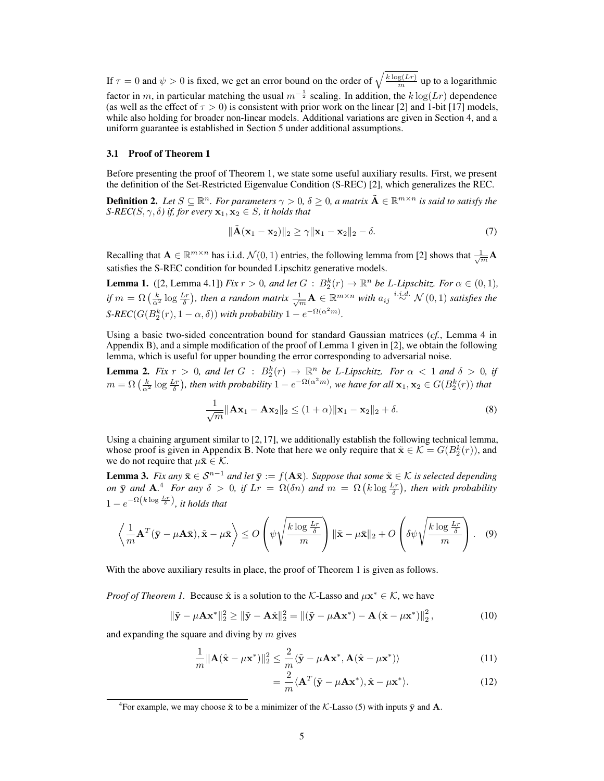If  $\tau = 0$  and  $\psi > 0$  is fixed, we get an error bound on the order of  $\sqrt{\frac{k \log(L_r)}{m}}$  up to a logarithmic factor in m, in particular matching the usual  $m^{-\frac{1}{2}}$  scaling. In addition, the  $k \log(Lr)$  dependence (as well as the effect of  $\tau > 0$ ) is consistent with prior work on the linear [\[2\]](#page-9-3) and 1-bit [\[17\]](#page-10-7) models, while also holding for broader non-linear models. Additional variations are given in Section [4,](#page-7-0) and a uniform guarantee is established in Section [5](#page-7-1) under additional assumptions.

#### 3.1 Proof of Theorem [1](#page-3-4)

Before presenting the proof of Theorem [1,](#page-3-4) we state some useful auxiliary results. First, we present the definition of the Set-Restricted Eigenvalue Condition (S-REC) [\[2\]](#page-9-3), which generalizes the REC.

**Definition 2.** Let  $S \subseteq \mathbb{R}^n$ . For parameters  $\gamma > 0$ ,  $\delta \geq 0$ , a matrix  $\tilde{A} \in \mathbb{R}^{m \times n}$  is said to satisfy the *S-REC(S,*  $\gamma$ *, δ) if, for every*  $x_1, x_2 \in S$ *, it holds that* 

$$
\|\tilde{\mathbf{A}}(\mathbf{x}_1 - \mathbf{x}_2)\|_2 \ge \gamma \|\mathbf{x}_1 - \mathbf{x}_2\|_2 - \delta. \tag{7}
$$

Recalling that  $A \in \mathbb{R}^{m \times n}$  has i.i.d.  $\mathcal{N}(0, 1)$  entries, the following lemma from [\[2\]](#page-9-3) shows that  $\frac{1}{\sqrt{m}}A$ satisfies the S-REC condition for bounded Lipschitz generative models.

<span id="page-4-0"></span>**Lemma 1.** ([\[2,](#page-9-3) Lemma 4.1]) *Fix*  $r > 0$ *, and let*  $G : B_2^k(r) \to \mathbb{R}^n$  *be L-Lipschitz. For*  $\alpha \in (0,1)$ *, if*  $m = \Omega\left(\frac{k}{\alpha^2}\log\frac{Lr}{\delta}\right)$ , then a random matrix  $\frac{1}{\sqrt{m}}\mathbf{A} \in \mathbb{R}^{m \times n}$  with  $a_{ij} \stackrel{i.i.d.}{\sim} \mathcal{N}(0,1)$  satisfies the  $S\text{-}REC(G(B_2^k(r), 1-\alpha, \delta))$  *with probability*  $1 - e^{-\Omega(\alpha^2 m)}$ *.* 

Using a basic two-sided concentration bound for standard Gaussian matrices (*cf.*, Lemma [4](#page--1-1) in Appendix [B\)](#page--1-2), and a simple modification of the proof of Lemma [1](#page-4-0) given in [\[2\]](#page-9-3), we obtain the following lemma, which is useful for upper bounding the error corresponding to adversarial noise.

<span id="page-4-2"></span>**Lemma 2.** Fix  $r > 0$ , and let  $G : B_2^k(r) \to \mathbb{R}^n$  be L-Lipschitz. For  $\alpha < 1$  and  $\delta > 0$ , if  $m = \Omega\left(\frac{k}{\alpha^2}\log\frac{Lr}{\delta}\right)$ , then with probability  $1 - e^{-\Omega(\alpha^2 m)}$ , we have for all  $\mathbf{x}_1, \mathbf{x}_2 \in G(B_2^k(r))$  that

$$
\frac{1}{\sqrt{m}} \|\mathbf{A}\mathbf{x}_1 - \mathbf{A}\mathbf{x}_2\|_2 \le (1+\alpha) \|\mathbf{x}_1 - \mathbf{x}_2\|_2 + \delta. \tag{8}
$$

Using a chaining argument similar to [\[2,](#page-9-3)[17\]](#page-10-7), we additionally establish the following technical lemma, whose proof is given in Appendix [B.](#page--1-2) Note that here we only require that  $\tilde{\mathbf{x}} \in \mathcal{K} = G(B_2^k(r))$ , and we do not require that  $\mu \bar{\mathbf{x}} \in \mathcal{K}$ .

<span id="page-4-3"></span>**Lemma 3.** *Fix any*  $\bar{\mathbf{x}} \in \mathcal{S}^{n-1}$  *and let*  $\bar{\mathbf{y}} := f(\mathbf{A}\bar{\mathbf{x}})$ *. Suppose that some*  $\tilde{\mathbf{x}} \in \mathcal{K}$  *is selected depending on*  $\bar{y}$  *and*  $A$ .<sup>[4](#page-4-1)</sup> *For any*  $\delta > 0$ , *if*  $Lr = \Omega(\delta n)$  *and*  $m = \Omega(k \log \frac{Lr}{\delta})$ , *then with probability*  $1 - e^{-\Omega\left(k \log \frac{Lr}{\delta}\right)}$ , it holds that

$$
\left\langle \frac{1}{m} \mathbf{A}^T (\bar{\mathbf{y}} - \mu \mathbf{A} \bar{\mathbf{x}}), \tilde{\mathbf{x}} - \mu \bar{\mathbf{x}} \right\rangle \le O\left(\psi \sqrt{\frac{k \log \frac{Lr}{\delta}}{m}}\right) \|\tilde{\mathbf{x}} - \mu \bar{\mathbf{x}}\|_2 + O\left(\delta \psi \sqrt{\frac{k \log \frac{Lr}{\delta}}{m}}\right). \quad (9)
$$

With the above auxiliary results in place, the proof of Theorem [1](#page-3-4) is given as follows.

*Proof of Theorem [1.](#page-3-4)* Because  $\hat{x}$  is a solution to the K-Lasso and  $\mu x^* \in K$ , we have

$$
\|\tilde{\mathbf{y}} - \mu \mathbf{A} \mathbf{x}^* \|_2^2 \ge \|\tilde{\mathbf{y}} - \mathbf{A}\hat{\mathbf{x}} \|_2^2 = \|(\tilde{\mathbf{y}} - \mu \mathbf{A} \mathbf{x}^*) - \mathbf{A} (\hat{\mathbf{x}} - \mu \mathbf{x}^*) \|_2^2, \tag{10}
$$

and expanding the square and diving by  $m$  gives

$$
\frac{1}{m} \|\mathbf{A}(\hat{\mathbf{x}} - \mu \mathbf{x}^*)\|_2^2 \le \frac{2}{m} \langle \tilde{\mathbf{y}} - \mu \mathbf{A} \mathbf{x}^*, \mathbf{A}(\hat{\mathbf{x}} - \mu \mathbf{x}^*) \rangle \tag{11}
$$

<span id="page-4-4"></span>
$$
=\frac{2}{m}\langle \mathbf{A}^T(\tilde{\mathbf{y}} - \mu \mathbf{A}\mathbf{x}^*), \hat{\mathbf{x}} - \mu \mathbf{x}^* \rangle.
$$
 (12)

<span id="page-4-1"></span><sup>&</sup>lt;sup>4</sup> For example, we may choose  $\tilde{x}$  to be a minimizer of the *K*-Lasso [\(5\)](#page-3-2) with inputs  $\bar{y}$  and **A**.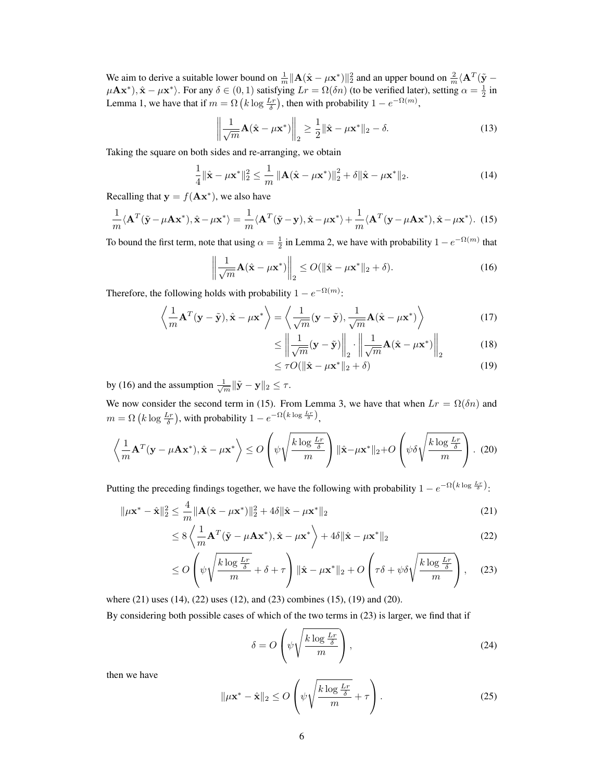We aim to derive a suitable lower bound on  $\frac{1}{m} ||A(\hat{x} - \mu x^*)||_2^2$  and an upper bound on  $\frac{2}{m} \langle A^T(\tilde{y} - \mu x^*)|^2 \rangle$  $\mu \mathbf{A} \mathbf{x}^*$ ),  $\hat{\mathbf{x}} - \mu \mathbf{x}^*$ ). For any  $\delta \in (0, 1)$  satisfying  $Lr = \Omega(\delta n)$  (to be verified later), setting  $\alpha = \frac{1}{2}$  in Lemma [1,](#page-4-0) we have that if  $m = \Omega\left(k \log \frac{L_r}{\delta}\right)$ , then with probability  $1 - e^{-\Omega(m)}$ ,

$$
\left\| \frac{1}{\sqrt{m}} \mathbf{A} (\hat{\mathbf{x}} - \mu \mathbf{x}^*) \right\|_2 \ge \frac{1}{2} \|\hat{\mathbf{x}} - \mu \mathbf{x}^* \|_2 - \delta. \tag{13}
$$

Taking the square on both sides and re-arranging, we obtain

<span id="page-5-3"></span>
$$
\frac{1}{4} \|\hat{\mathbf{x}} - \mu \mathbf{x}^*\|_2^2 \le \frac{1}{m} \left\| \mathbf{A} (\hat{\mathbf{x}} - \mu \mathbf{x}^*) \right\|_2^2 + \delta \|\hat{\mathbf{x}} - \mu \mathbf{x}^*\|_2.
$$
 (14)

Recalling that  $y = f(Ax^*)$ , we also have

<span id="page-5-1"></span>
$$
\frac{1}{m}\langle \mathbf{A}^T(\tilde{\mathbf{y}} - \mu \mathbf{A}\mathbf{x}^*) , \hat{\mathbf{x}} - \mu \mathbf{x}^* \rangle = \frac{1}{m}\langle \mathbf{A}^T(\tilde{\mathbf{y}} - \mathbf{y}), \hat{\mathbf{x}} - \mu \mathbf{x}^* \rangle + \frac{1}{m}\langle \mathbf{A}^T(\mathbf{y} - \mu \mathbf{A}\mathbf{x}^*) , \hat{\mathbf{x}} - \mu \mathbf{x}^* \rangle. \tag{15}
$$

To bound the first term, note that using  $\alpha = \frac{1}{2}$  in Lemma [2,](#page-4-2) we have with probability  $1 - e^{-\Omega(m)}$  that

<span id="page-5-0"></span>
$$
\left\| \frac{1}{\sqrt{m}} \mathbf{A} (\hat{\mathbf{x}} - \mu \mathbf{x}^*) \right\|_2 \le O(\|\hat{\mathbf{x}} - \mu \mathbf{x}^*\|_2 + \delta).
$$
 (16)

Therefore, the following holds with probability  $1 - e^{-\Omega(m)}$ :

$$
\left\langle \frac{1}{m} \mathbf{A}^T (\mathbf{y} - \tilde{\mathbf{y}}), \hat{\mathbf{x}} - \mu \mathbf{x}^* \right\rangle = \left\langle \frac{1}{\sqrt{m}} (\mathbf{y} - \tilde{\mathbf{y}}), \frac{1}{\sqrt{m}} \mathbf{A} (\hat{\mathbf{x}} - \mu \mathbf{x}^*) \right\rangle
$$
(17)

$$
\leq \left\| \frac{1}{\sqrt{m}} (\mathbf{y} - \tilde{\mathbf{y}}) \right\|_2 \cdot \left\| \frac{1}{\sqrt{m}} \mathbf{A} (\hat{\mathbf{x}} - \mu \mathbf{x}^*) \right\|_2 \tag{18}
$$

<span id="page-5-6"></span><span id="page-5-2"></span>
$$
\leq \tau O(\|\hat{\mathbf{x}} - \mu \mathbf{x}^*\|_2 + \delta) \tag{19}
$$

by [\(16\)](#page-5-0) and the assumption  $\frac{1}{\sqrt{m}} \|\tilde{\mathbf{y}} - \mathbf{y}\|_2 \leq \tau$ .

We now consider the second term in [\(15\)](#page-5-1). From Lemma [3,](#page-4-3) we have that when  $Lr = \Omega(\delta n)$  and  $m = \Omega\left(k \log \frac{Lr}{\delta}\right)$ , with probability  $1 - e^{-\Omega\left(k \log \frac{Lr}{\delta}\right)}$ ,

<span id="page-5-7"></span>
$$
\left\langle \frac{1}{m} \mathbf{A}^T (\mathbf{y} - \mu \mathbf{A} \mathbf{x}^*), \hat{\mathbf{x}} - \mu \mathbf{x}^* \right\rangle \le O\left(\psi \sqrt{\frac{k \log \frac{Lr}{\delta}}{m}}\right) \|\hat{\mathbf{x}} - \mu \mathbf{x}^* \|_2 + O\left(\psi \delta \sqrt{\frac{k \log \frac{Lr}{\delta}}{m}}\right). (20)
$$

Putting the preceding findings together, we have the following with probability  $1 - e^{-\Omega(k \log \frac{Lr}{\delta})}$ .

$$
\|\mu \mathbf{x}^* - \hat{\mathbf{x}}\|_2^2 \le \frac{4}{m} \|\mathbf{A}(\hat{\mathbf{x}} - \mu \mathbf{x}^*)\|_2^2 + 4\delta \|\hat{\mathbf{x}} - \mu \mathbf{x}^*\|_2
$$
 (21)

$$
\leq 8 \left\langle \frac{1}{m} \mathbf{A}^T (\tilde{\mathbf{y}} - \mu \mathbf{A} \mathbf{x}^*) , \hat{\mathbf{x}} - \mu \mathbf{x}^* \right\rangle + 4 \delta \| \hat{\mathbf{x}} - \mu \mathbf{x}^* \|_2
$$
 (22)

$$
\leq O\left(\psi\sqrt{\frac{k\log\frac{Lr}{\delta}}{m}} + \delta + \tau\right) \|\hat{\mathbf{x}} - \mu \mathbf{x}^*\|_2 + O\left(\tau\delta + \psi\delta\sqrt{\frac{k\log\frac{Lr}{\delta}}{m}}\right),\tag{23}
$$

where [\(21\)](#page-5-2) uses [\(14\)](#page-5-3), [\(22\)](#page-5-4) uses [\(12\)](#page-4-4), and [\(23\)](#page-5-5) combines [\(15\)](#page-5-1), [\(19\)](#page-5-6) and [\(20\)](#page-5-7).

By considering both possible cases of which of the two terms in [\(23\)](#page-5-5) is larger, we find that if

<span id="page-5-5"></span><span id="page-5-4"></span>
$$
\delta = O\left(\psi \sqrt{\frac{k \log \frac{Lr}{\delta}}{m}}\right),\tag{24}
$$

then we have

$$
\|\mu \mathbf{x}^* - \hat{\mathbf{x}}\|_2 \le O\left(\psi \sqrt{\frac{k \log \frac{Lr}{\delta}}{m}} + \tau\right). \tag{25}
$$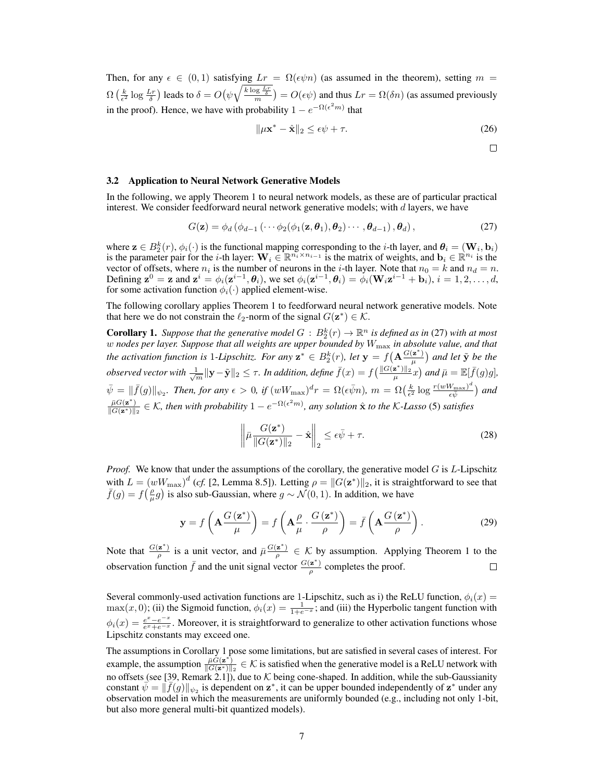Then, for any  $\epsilon \in (0,1)$  satisfying  $Lr = \Omega(\epsilon \psi n)$  (as assumed in the theorem), setting  $m =$  $\Omega\left(\frac{k}{\epsilon^2}\log\frac{Lr}{\delta}\right)$  leads to  $\delta = O\left(\psi\sqrt{\frac{k\log\frac{Lr}{\delta}}{m}}\right) = O(\epsilon\psi)$  and thus  $Lr = \Omega(\delta n)$  (as assumed previously in the proof). Hence, we have with probability  $1 - e^{-\Omega(e^2 m)}$  that

$$
\|\mu \mathbf{x}^* - \hat{\mathbf{x}}\|_2 \le \epsilon \psi + \tau. \tag{26}
$$

 $\Box$ 

#### <span id="page-6-0"></span>3.2 Application to Neural Network Generative Models

In the following, we apply Theorem [1](#page-3-4) to neural network models, as these are of particular practical interest. We consider feedforward neural network generative models; with  $d$  layers, we have

<span id="page-6-1"></span>
$$
G(\mathbf{z}) = \phi_d \left( \phi_{d-1} \left( \cdots \phi_2(\phi_1(\mathbf{z}, \boldsymbol{\theta}_1), \boldsymbol{\theta}_2) \cdots, \boldsymbol{\theta}_{d-1} \right), \boldsymbol{\theta}_d \right),\tag{27}
$$

where  $\mathbf{z} \in B_2^k(r)$ ,  $\phi_i(\cdot)$  is the functional mapping corresponding to the *i*-th layer, and  $\theta_i = (\mathbf{W}_i, \mathbf{b}_i)$ is the parameter pair for the *i*-th layer:  $\mathbf{W}_i \in \mathbb{R}^{n_i \times n_{i-1}}$  is the matrix of weights, and  $\mathbf{b}_i \in \mathbb{R}^{n_i}$  is the vector of offsets, where  $n_i$  is the number of neurons in the *i*-th layer. Note that  $n_0 = k$  and  $n_d = n$ . Defining  $\mathbf{z}^0 = \mathbf{z}$  and  $\mathbf{z}^i = \phi_i(\mathbf{z}^{i-1}, \theta_i)$ , we set  $\phi_i(\mathbf{z}^{i-1}, \theta_i) = \phi_i(\mathbf{W}_i \mathbf{z}^{i-1} + \mathbf{b}_i)$ ,  $i = 1, 2, ..., d$ , for some activation function  $\phi_i(\cdot)$  applied element-wise.

The following corollary applies Theorem [1](#page-3-4) to feedforward neural network generative models. Note that here we do not constrain the  $\ell_2$ -norm of the signal  $G(\mathbf{z}^*) \in \mathcal{K}$ .

<span id="page-6-2"></span>**Corollary 1.** Suppose that the generative model  $G : B_2^k(r) \to \mathbb{R}^n$  is defined as in [\(27\)](#page-6-1) with at most w *nodes per layer. Suppose that all weights are upper bounded by* Wmax *in absolute value, and that* the activation function is 1-Lipschitz. For any  $z^* \in B_2^k(r)$ , let  $y = f(A \frac{G(z^*)}{\mu})$  $\frac{z^{*}}{\mu}$ ) and let  $\tilde{y}$  be the *observed vector with*  $\frac{1}{\sqrt{m}}\|\mathbf{y}-\tilde{\mathbf{y}}\|_2 \leq \tau$ *. In addition, define*  $\bar{f}(x) = f\left(\frac{\|G(\mathbf{z}^*)\|_2}{\mu}x\right)$  and  $\bar{\mu} = \mathbb{E}[\bar{f}(g)g]$ ,  $\bar{\psi} = \|\bar{f}(g)\|_{\psi_2}$ . Then, for any  $\epsilon > 0$ , if  $(wW_{\text{max}})^d r = \Omega(\epsilon \bar{\psi} n)$ ,  $m = \Omega(\frac{k}{\epsilon^2} \log \frac{r(wW_{\text{max}})^d}{\epsilon \bar{\psi}})$  $\frac{\sqrt[n]{\max\}}{\epsilon\bar{\psi}}$  and  $\frac{\bar{\mu}G(z^*)}{\|\bar{G}(z^*)\|_2} \in \mathcal{K}$ , then with probability  $1 - e^{-\Omega(\epsilon^2 m)}$ , any solution  $\hat{x}$  to the K-Lasso [\(5\)](#page-3-2) satisfies

$$
\left\|\bar{\mu}\frac{G(\mathbf{z}^*)}{\|G(\mathbf{z}^*)\|_2} - \hat{\mathbf{x}}\right\|_2 \leq \epsilon \bar{\psi} + \tau.
$$
 (28)

*Proof.* We know that under the assumptions of the corollary, the generative model  $G$  is  $L$ -Lipschitz with  $L = (wW_{\text{max}})^d$  (*cf.* [\[2,](#page-9-3) Lemma 8.5]). Letting  $\rho = ||G(\mathbf{z}^*)||_2$ , it is straightforward to see that  $\bar{f}(g) = f(\frac{\rho}{\mu}g)$  is also sub-Gaussian, where  $g \sim \mathcal{N}(0, 1)$ . In addition, we have

$$
\mathbf{y} = f\left(\mathbf{A}\frac{G\left(\mathbf{z}^*\right)}{\mu}\right) = f\left(\mathbf{A}\frac{\rho}{\mu}\cdot\frac{G\left(\mathbf{z}^*\right)}{\rho}\right) = \bar{f}\left(\mathbf{A}\frac{G\left(\mathbf{z}^*\right)}{\rho}\right). \tag{29}
$$

Note that  $\frac{G(\mathbf{z}^*)}{a}$  $\frac{z^*}{\rho}$  is a unit vector, and  $\bar{\mu} \frac{G(z^*)}{\rho}$  $\frac{z}{\rho} \in \mathcal{K}$  by assumption. Applying Theorem [1](#page-3-4) to the observation function  $\bar{f}$  and the unit signal vector  $\frac{G(z^*)}{g}$  $\frac{z}{\rho}$  completes the proof.  $\Box$ 

Several commonly-used activation functions are 1-Lipschitz, such as i) the ReLU function,  $\phi_i(x)$  $max(x, 0)$ ; (ii) the Sigmoid function,  $\phi_i(x) = \frac{1}{1 + e^{-x}}$ ; and (iii) the Hyperbolic tangent function with  $\phi_i(x) = \frac{e^x - e^{-x}}{e^x + e^{-x}}$  $\frac{e^x-e^{-x}}{e^x+e^{-x}}$ . Moreover, it is straightforward to generalize to other activation functions whose Lipschitz constants may exceed one.

The assumptions in Corollary [1](#page-6-2) pose some limitations, but are satisfied in several cases of interest. For example, the assumption  $\frac{\bar{\mu} \tilde{G}(\mathbf{z}^*)}{\|G(\mathbf{z}^*)\|_2} \in \mathcal{K}$  is satisfied when the generative model is a ReLU network with no offsets (see [\[39,](#page-10-11) Remark 2.1]), due to K being cone-shaped. In addition, while the sub-Gaussianity<br>constant  $\psi = ||\vec{f}(a)||$ , is dependent on  $z^*$  it can be upper bounded independently of  $z^*$  under any constant  $\bar{\psi} = \|\bar{f}(g)\|_{\psi_2}$  is dependent on  $\mathbf{z}^*$ , it can be upper bounded independently of  $\mathbf{z}^*$  under any observation model in which the measurements are uniformly bounded (e.g., including not only 1-bit, but also more general multi-bit quantized models).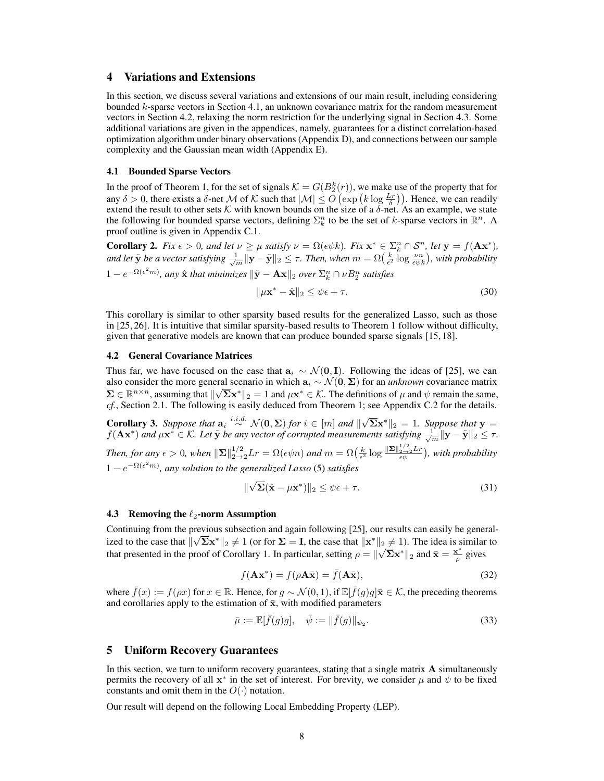# <span id="page-7-0"></span>4 Variations and Extensions

In this section, we discuss several variations and extensions of our main result, including considering bounded k-sparse vectors in Section [4.1,](#page-7-2) an unknown covariance matrix for the random measurement vectors in Section [4.2,](#page-7-3) relaxing the norm restriction for the underlying signal in Section [4.3.](#page-7-4) Some additional variations are given in the appendices, namely, guarantees for a distinct correlation-based optimization algorithm under binary observations (Appendix [D\)](#page--1-3), and connections between our sample complexity and the Gaussian mean width (Appendix [E\)](#page--1-4).

#### <span id="page-7-2"></span>4.1 Bounded Sparse Vectors

In the proof of Theorem [1,](#page-3-4) for the set of signals  $K = G(B_2^k(r))$ , we make use of the property that for any  $\delta > 0$ , there exists a  $\delta$ -net M of K such that  $|\mathcal{M}| \leq O\left(\exp\left(k \log \frac{L_r}{\delta}\right)\right)$ . Hence, we can readily extend the result to other sets K with known bounds on the size of a  $\delta$ -net. As an example, we state the following for bounded sparse vectors, defining  $\Sigma_k^n$  to be the set of k-sparse vectors in  $\mathbb{R}^n$ . A proof outline is given in Appendix [C.1.](#page--1-5)

**Corollary 2.** *Fix*  $\epsilon > 0$ *, and let*  $\nu \ge \mu$  *satisfy*  $\nu = \Omega(\epsilon \psi k)$ *. Fix*  $\mathbf{x}^* \in \Sigma_k^n \cap \mathcal{S}^n$ *, let*  $\mathbf{y} = f(\mathbf{A}\mathbf{x}^*)$ *,* and let  $\tilde{\bf y}$  be a vector satisfying  $\frac{1}{\sqrt{m}}\|\bf y-\tilde{\bf y}\|_2\leq \tau$ . Then, when  $m=\Omega\big(\frac{k}{\epsilon^2}\log\frac{\nu n}{\epsilon\psi k}\big)$ , with probability

 $1-e^{-\Omega(\epsilon^2 m)}$ , any  $\hat{\mathbf{x}}$  *that minimizes*  $\|\tilde{\mathbf{y}}-\mathbf{A}\mathbf{x}\|_2$  over  $\Sigma_k^n\cap \nu B_2^n$  satisfies

$$
\|\mu \mathbf{x}^* - \hat{\mathbf{x}}\|_2 \le \psi \epsilon + \tau. \tag{30}
$$

This corollary is similar to other sparsity based results for the generalized Lasso, such as those in [\[25,](#page-10-2) [26\]](#page-10-3). It is intuitive that similar sparsity-based results to Theorem [1](#page-3-4) follow without difficulty, given that generative models are known that can produce bounded sparse signals [\[15,](#page-9-6) [18\]](#page-10-6).

#### <span id="page-7-3"></span>4.2 General Covariance Matrices

Thus far, we have focused on the case that  $a_i \sim \mathcal{N}(0, I)$ . Following the ideas of [\[25\]](#page-10-2), we can also consider the more general scenario in which  $a_i \sim \mathcal{N}(0, \Sigma)$  for an *unknown* covariance matrix  $\Sigma \in \mathbb{R}^{n \times n}$ , assuming that  $\|\sqrt{\Sigma}x^*\|_2 = 1$  and  $\mu x^* \in \mathcal{K}$ . The definitions of  $\mu$  and  $\psi$  remain the same, *cf.*, Section [2.1.](#page-2-0) The following is easily deduced from Theorem [1;](#page-3-4) see Appendix [C.2](#page--1-4) for the details.

**Corollary 3.** Suppose that  $a_i \stackrel{i.i.d.}{\sim} \mathcal{N}(0, \Sigma)$  for  $i \in [m]$  and  $\|\sqrt{\Sigma}x^*\|_2 = 1$ . Suppose that  $y =$  $f(\mathbf{A} \mathbf{x}^*)$  and  $\mu \mathbf{x}^* \in \mathcal{K}$ . Let  $\tilde{\mathbf{y}}$  be any vector of corrupted measurements satisfying  $\frac{1}{\sqrt{m}} ||\mathbf{y} - \tilde{\mathbf{y}}||_2 \leq \tau$ . Then, for any  $\epsilon > 0$ , when  $\|\Sigma\|_{2\to 2}^{1/2}Lr = \Omega(\epsilon \psi n)$  and  $m = \Omega(\frac{k}{\epsilon^2} \log \frac{\|\Sigma\|_{2\to 2}^{1/2}Lr}{\epsilon \psi})$ , with probability  $1 - e^{-\Omega(\epsilon^2 m)}$ , any solution to the generalized Lasso [\(5\)](#page-3-2) satisfies

$$
\|\sqrt{\Sigma}(\hat{\mathbf{x}} - \mu \mathbf{x}^*)\|_2 \le \psi \epsilon + \tau.
$$
 (31)

#### <span id="page-7-4"></span>4.3 Removing the  $\ell_2$ -norm Assumption

Continuing from the previous subsection and again following [\[25\]](#page-10-2), our results can easily be generalized to the case that  $\|\sqrt{\Sigma}x^*\|_2 \neq 1$  (or for  $\Sigma = I$ , the case that  $\|x^*\|_2 \neq 1$ ). The idea is similar to that presented in the proof of Corollary [1.](#page-6-2) In particular, setting  $\rho = ||\sqrt{\Sigma}x^*||_2$  and  $\bar{x} = \frac{x^*}{\rho}$  $\frac{\epsilon}{\rho}$  gives

$$
f(\mathbf{A}\mathbf{x}^*) = f(\rho \mathbf{A}\bar{\mathbf{x}}) = \bar{f}(\mathbf{A}\bar{\mathbf{x}}),
$$
 (32)

where  $\bar{f}(x) := f(\rho x)$  for  $x \in \mathbb{R}$ . Hence, for  $g \sim \mathcal{N}(0, 1)$ , if  $\mathbb{E}[\bar{f}(g)g] \bar{x} \in \mathcal{K}$ , the preceding theorems and corollaries apply to the estimation of  $\bar{x}$ , with modified parameters

$$
\bar{\mu} := \mathbb{E}[\bar{f}(g)g], \quad \bar{\psi} := ||\bar{f}(g)||_{\psi_2}.
$$
\n(33)

## <span id="page-7-1"></span>5 Uniform Recovery Guarantees

In this section, we turn to uniform recovery guarantees, stating that a single matrix A simultaneously permits the recovery of all  $x^*$  in the set of interest. For brevity, we consider  $\mu$  and  $\psi$  to be fixed constants and omit them in the  $O(·)$  notation.

Our result will depend on the following Local Embedding Property (LEP).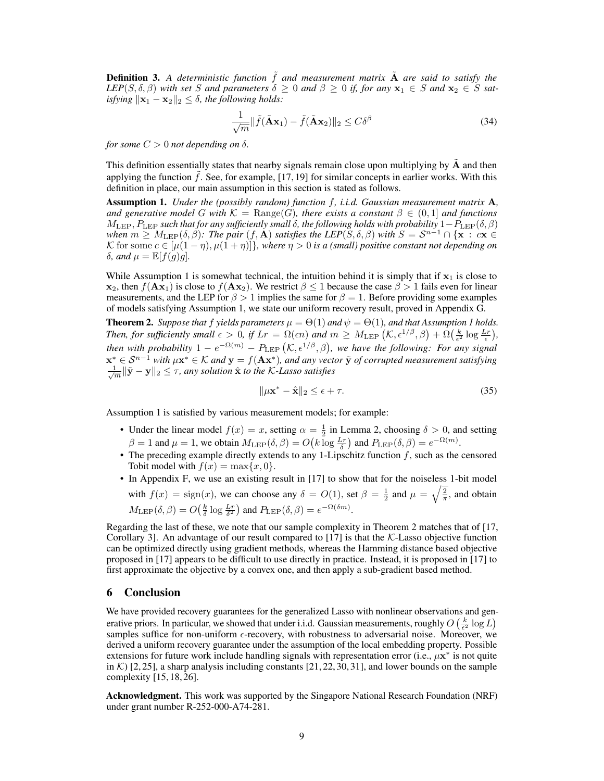**Definition 3.** A deterministic function  $\tilde{f}$  and measurement matrix  $\tilde{A}$  are said to satisfy the *LEP*( $S, \delta, \beta$ ) *with set* S *and parameters*  $\delta \geq 0$  *and*  $\beta \geq 0$  *if, for any*  $x_1 \in S$  *and*  $x_2 \in S$  *satisfying*  $\|\mathbf{x}_1 - \mathbf{x}_2\|_2 \le \delta$ , the following holds:

$$
\frac{1}{\sqrt{m}} \|\tilde{f}(\tilde{\mathbf{A}}\mathbf{x}_1) - \tilde{f}(\tilde{\mathbf{A}}\mathbf{x}_2)\|_2 \le C\delta^{\beta}
$$
\n(34)

*for some*  $C > 0$  *not depending on*  $\delta$ *.* 

This definition essentially states that nearby signals remain close upon multiplying by  $A$  and then applying the function  $f$ . See, for example,  $[17, 19]$  $[17, 19]$  $[17, 19]$  for similar concepts in earlier works. With this definition in place, our main assumption in this section is stated as follows.

<span id="page-8-0"></span>Assumption 1. *Under the (possibly random) function* f*, i.i.d. Gaussian measurement matrix* A*, and generative model* G *with*  $K = \text{Range}(G)$ *, there exists a constant*  $\beta \in (0,1]$  *and functions*  $M_{\rm LEP}, P_{\rm LEP}$  *such that for any sufficiently small*  $\delta$ *, the following holds with probability*  $1-P_{\rm LEP}(\delta, \beta)$ *when*  $m \geq M_{\rm LEP}(\delta, \beta)$ : The pair  $(f, A)$  satisfies the LEP( $S, \delta, \beta$ ) with  $S = S^{n-1} \cap {\bf {x : cx \in X}}$ K for some  $c \in [\mu(1 - \eta), \mu(1 + \eta)]\}$ , where  $\eta > 0$  is a (small) positive constant not depending on *δ*, and  $\mu = \mathbb{E}[f(g)g]$ .

While Assumption [1](#page-8-0) is somewhat technical, the intuition behind it is simply that if  $x_1$  is close to  $\mathbf{x}_2$ , then  $f(\mathbf{Ax}_1)$  is close to  $f(\mathbf{Ax}_2)$ . We restrict  $\beta \leq 1$  because the case  $\beta > 1$  fails even for linear measurements, and the LEP for  $\beta > 1$  implies the same for  $\beta = 1$ . Before providing some examples of models satisfying Assumption [1,](#page-8-0) we state our uniform recovery result, proved in Appendix [G.](#page--1-6)

<span id="page-8-1"></span>**Theorem 2.** *Suppose that* f *yields parameters*  $\mu = \Theta(1)$  $\mu = \Theta(1)$  $\mu = \Theta(1)$  *and*  $\psi = \Theta(1)$ *, and that Assumption 1 holds. Then, for sufficiently small*  $\epsilon > 0$ , *if*  $Lr = \Omega(\epsilon n)$  *and*  $m \geq M_{\rm LEP} (\mathcal{K}, \epsilon^{1/\beta}, \beta) + \Omega(\frac{k}{\epsilon^2} \log \frac{Lr}{\epsilon}),$ then with probability  $1 - e^{-\Omega(m)} - P_{\rm LEP}(\mathcal{K}, \epsilon^{1/\beta}, \beta)$ , we have the following: For any signal  $\mathbf{x}^* \in \mathcal{S}^{n-1}$  with  $\mu \mathbf{x}^* \in \mathcal{K}$  and  $\mathbf{y} = f(\mathbf{A}\mathbf{x}^*)$ , and any vector  $\tilde{\mathbf{y}}$  of corrupted measurement satisfying  $\frac{1}{\sqrt{m}}\|\tilde{\mathbf{y}}-\mathbf{y}\|_2 \leq \tau$ , any solution  $\hat{\mathbf{x}}$  to the K-Lasso satisfies

$$
\|\mu \mathbf{x}^* - \hat{\mathbf{x}}\|_2 \le \epsilon + \tau. \tag{35}
$$

Assumption [1](#page-8-0) is satisfied by various measurement models; for example:

- Under the linear model  $f(x) = x$ , setting  $\alpha = \frac{1}{2}$  in Lemma [2,](#page-4-2) choosing  $\delta > 0$ , and setting  $\beta = 1$  and  $\mu = 1$ , we obtain  $M_{\text{LEP}}(\delta, \beta) = O(k \log \frac{L_r}{\delta})$  and  $P_{\text{LEP}}(\delta, \beta) = e^{-\Omega(m)}$ .
- The preceding example directly extends to any 1-Lipschitz function  $f$ , such as the censored Tobit model with  $f(x) = \max\{x, 0\}.$
- In Appendix [F,](#page--1-7) we use an existing result in [\[17\]](#page-10-7) to show that for the noiseless 1-bit model with  $f(x) = sign(x)$ , we can choose any  $\delta = O(1)$ , set  $\beta = \frac{1}{2}$  and  $\mu = \sqrt{\frac{2}{\pi}}$ , and obtain  $M_{\text{LEP}}(\delta, \beta) = O\left(\frac{k}{\delta} \log \frac{Lr}{\delta^2}\right)$  and  $P_{\text{LEP}}(\delta, \beta) = e^{-\Omega(\delta m)}$ .

Regarding the last of these, we note that our sample complexity in Theorem [2](#page-8-1) matches that of [\[17,](#page-10-7) Corollary 3]. An advantage of our result compared to [\[17\]](#page-10-7) is that the  $K$ -Lasso objective function can be optimized directly using gradient methods, whereas the Hamming distance based objective proposed in [\[17\]](#page-10-7) appears to be difficult to use directly in practice. Instead, it is proposed in [\[17\]](#page-10-7) to first approximate the objective by a convex one, and then apply a sub-gradient based method.

## 6 Conclusion

We have provided recovery guarantees for the generalized Lasso with nonlinear observations and generative priors. In particular, we showed that under i.i.d. Gaussian measurements, roughly  $O\left(\frac{k}{\epsilon^2}\log L\right)$ samples suffice for non-uniform  $\epsilon$ -recovery, with robustness to adversarial noise. Moreover, we derived a uniform recovery guarantee under the assumption of the local embedding property. Possible extensions for future work include handling signals with representation error (i.e.,  $\mu x^*$  is not quite in K) [\[2,](#page-9-3) [25\]](#page-10-2), a sharp analysis including constants [\[21,](#page-10-14) [22,](#page-10-15) [30,](#page-10-16) [31\]](#page-10-17), and lower bounds on the sample complexity [\[15,](#page-9-6) [18,](#page-10-6) [26\]](#page-10-3).

Acknowledgment. This work was supported by the Singapore National Research Foundation (NRF) under grant number R-252-000-A74-281.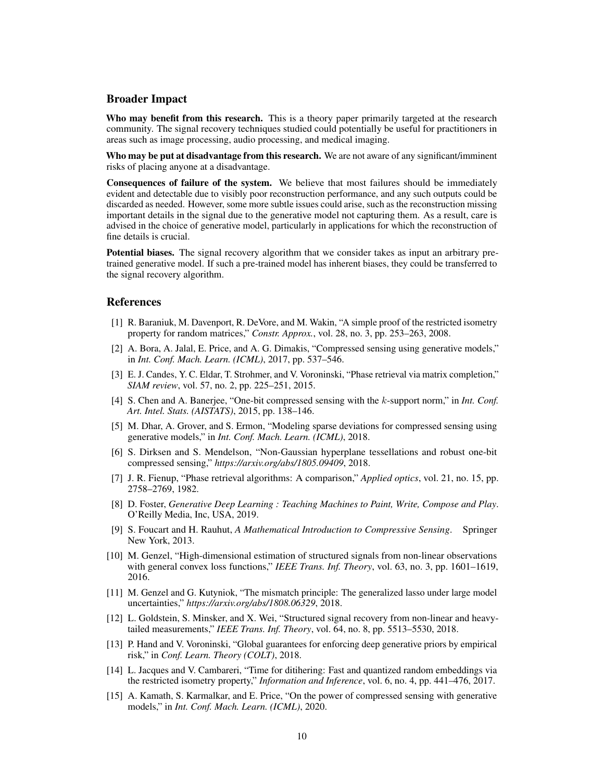## Broader Impact

Who may benefit from this research. This is a theory paper primarily targeted at the research community. The signal recovery techniques studied could potentially be useful for practitioners in areas such as image processing, audio processing, and medical imaging.

Who may be put at disadvantage from this research. We are not aware of any significant/imminent risks of placing anyone at a disadvantage.

Consequences of failure of the system. We believe that most failures should be immediately evident and detectable due to visibly poor reconstruction performance, and any such outputs could be discarded as needed. However, some more subtle issues could arise, such as the reconstruction missing important details in the signal due to the generative model not capturing them. As a result, care is advised in the choice of generative model, particularly in applications for which the reconstruction of fine details is crucial.

Potential biases. The signal recovery algorithm that we consider takes as input an arbitrary pretrained generative model. If such a pre-trained model has inherent biases, they could be transferred to the signal recovery algorithm.

## References

- [1] R. Baraniuk, M. Davenport, R. DeVore, and M. Wakin, "A simple proof of the restricted isometry property for random matrices," *Constr. Approx.*, vol. 28, no. 3, pp. 253–263, 2008.
- <span id="page-9-3"></span>[2] A. Bora, A. Jalal, E. Price, and A. G. Dimakis, "Compressed sensing using generative models," in *Int. Conf. Mach. Learn. (ICML)*, 2017, pp. 537–546.
- <span id="page-9-11"></span>[3] E. J. Candes, Y. C. Eldar, T. Strohmer, and V. Voroninski, "Phase retrieval via matrix completion," *SIAM review*, vol. 57, no. 2, pp. 225–251, 2015.
- [4] S. Chen and A. Banerjee, "One-bit compressed sensing with the k-support norm," in *Int. Conf. Art. Intel. Stats. (AISTATS)*, 2015, pp. 138–146.
- <span id="page-9-4"></span>[5] M. Dhar, A. Grover, and S. Ermon, "Modeling sparse deviations for compressed sensing using generative models," in *Int. Conf. Mach. Learn. (ICML)*, 2018.
- <span id="page-9-7"></span>[6] S. Dirksen and S. Mendelson, "Non-Gaussian hyperplane tessellations and robust one-bit compressed sensing," *https://arxiv.org/abs/1805.09409*, 2018.
- <span id="page-9-12"></span>[7] J. R. Fienup, "Phase retrieval algorithms: A comparison," *Applied optics*, vol. 21, no. 15, pp. 2758–2769, 1982.
- <span id="page-9-2"></span>[8] D. Foster, *Generative Deep Learning : Teaching Machines to Paint, Write, Compose and Play*. O'Reilly Media, Inc, USA, 2019.
- <span id="page-9-0"></span>[9] S. Foucart and H. Rauhut, *A Mathematical Introduction to Compressive Sensing*. Springer New York, 2013.
- <span id="page-9-1"></span>[10] M. Genzel, "High-dimensional estimation of structured signals from non-linear observations with general convex loss functions," *IEEE Trans. Inf. Theory*, vol. 63, no. 3, pp. 1601–1619, 2016.
- <span id="page-9-10"></span>[11] M. Genzel and G. Kutyniok, "The mismatch principle: The generalized lasso under large model uncertainties," *https://arxiv.org/abs/1808.06329*, 2018.
- <span id="page-9-9"></span>[12] L. Goldstein, S. Minsker, and X. Wei, "Structured signal recovery from non-linear and heavytailed measurements," *IEEE Trans. Inf. Theory*, vol. 64, no. 8, pp. 5513–5530, 2018.
- <span id="page-9-5"></span>[13] P. Hand and V. Voroninski, "Global guarantees for enforcing deep generative priors by empirical risk," in *Conf. Learn. Theory (COLT)*, 2018.
- <span id="page-9-8"></span>[14] L. Jacques and V. Cambareri, "Time for ditihering: Fast and quantized random embeddings via the restricted isometry property," *Information and Inference*, vol. 6, no. 4, pp. 441–476, 2017.
- <span id="page-9-6"></span>[15] A. Kamath, S. Karmalkar, and E. Price, "On the power of compressed sensing with generative models," in *Int. Conf. Mach. Learn. (ICML)*, 2020.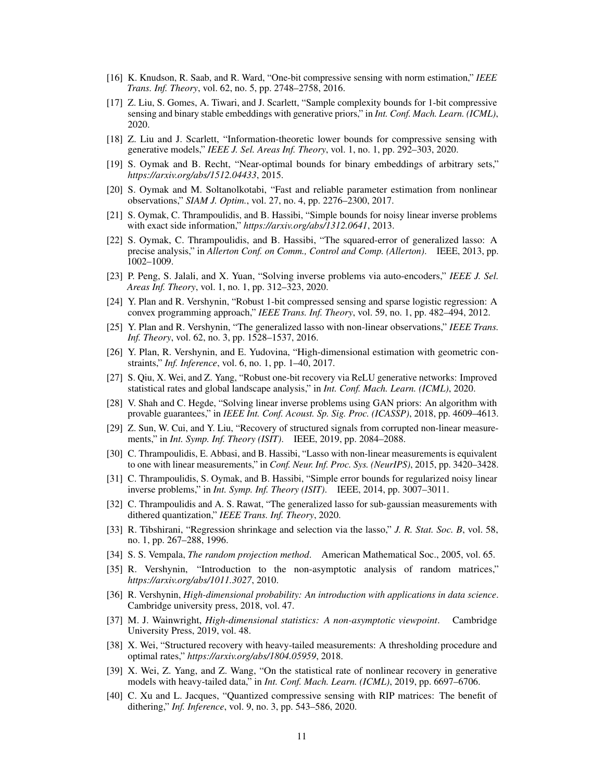- <span id="page-10-9"></span>[16] K. Knudson, R. Saab, and R. Ward, "One-bit compressive sensing with norm estimation," *IEEE Trans. Inf. Theory*, vol. 62, no. 5, pp. 2748–2758, 2016.
- <span id="page-10-7"></span>[17] Z. Liu, S. Gomes, A. Tiwari, and J. Scarlett, "Sample complexity bounds for 1-bit compressive sensing and binary stable embeddings with generative priors," in *Int. Conf. Mach. Learn. (ICML)*, 2020.
- <span id="page-10-6"></span>[18] Z. Liu and J. Scarlett, "Information-theoretic lower bounds for compressive sensing with generative models," *IEEE J. Sel. Areas Inf. Theory*, vol. 1, no. 1, pp. 292–303, 2020.
- <span id="page-10-20"></span>[19] S. Oymak and B. Recht, "Near-optimal bounds for binary embeddings of arbitrary sets," *https://arxiv.org/abs/1512.04433*, 2015.
- <span id="page-10-12"></span>[20] S. Oymak and M. Soltanolkotabi, "Fast and reliable parameter estimation from nonlinear observations," *SIAM J. Optim.*, vol. 27, no. 4, pp. 2276–2300, 2017.
- <span id="page-10-14"></span>[21] S. Oymak, C. Thrampoulidis, and B. Hassibi, "Simple bounds for noisy linear inverse problems with exact side information," *https://arxiv.org/abs/1312.0641*, 2013.
- <span id="page-10-15"></span>[22] S. Oymak, C. Thrampoulidis, and B. Hassibi, "The squared-error of generalized lasso: A precise analysis," in *Allerton Conf. on Comm., Control and Comp. (Allerton)*. IEEE, 2013, pp. 1002–1009.
- <span id="page-10-4"></span>[23] P. Peng, S. Jalali, and X. Yuan, "Solving inverse problems via auto-encoders," *IEEE J. Sel. Areas Inf. Theory*, vol. 1, no. 1, pp. 312–323, 2020.
- [24] Y. Plan and R. Vershynin, "Robust 1-bit compressed sensing and sparse logistic regression: A convex programming approach," *IEEE Trans. Inf. Theory*, vol. 59, no. 1, pp. 482–494, 2012.
- <span id="page-10-2"></span>[25] Y. Plan and R. Vershynin, "The generalized lasso with non-linear observations," *IEEE Trans. Inf. Theory*, vol. 62, no. 3, pp. 1528–1537, 2016.
- <span id="page-10-3"></span>[26] Y. Plan, R. Vershynin, and E. Yudovina, "High-dimensional estimation with geometric constraints," *Inf. Inference*, vol. 6, no. 1, pp. 1–40, 2017.
- <span id="page-10-8"></span>[27] S. Qiu, X. Wei, and Z. Yang, "Robust one-bit recovery via ReLU generative networks: Improved statistical rates and global landscape analysis," in *Int. Conf. Mach. Learn. (ICML)*, 2020.
- <span id="page-10-5"></span>[28] V. Shah and C. Hegde, "Solving linear inverse problems using GAN priors: An algorithm with provable guarantees," in *IEEE Int. Conf. Acoust. Sp. Sig. Proc. (ICASSP)*, 2018, pp. 4609–4613.
- <span id="page-10-18"></span>[29] Z. Sun, W. Cui, and Y. Liu, "Recovery of structured signals from corrupted non-linear measurements," in *Int. Symp. Inf. Theory (ISIT)*. IEEE, 2019, pp. 2084–2088.
- <span id="page-10-16"></span>[30] C. Thrampoulidis, E. Abbasi, and B. Hassibi, "Lasso with non-linear measurements is equivalent to one with linear measurements," in *Conf. Neur. Inf. Proc. Sys. (NeurIPS)*, 2015, pp. 3420–3428.
- <span id="page-10-17"></span>[31] C. Thrampoulidis, S. Oymak, and B. Hassibi, "Simple error bounds for regularized noisy linear inverse problems," in *Int. Symp. Inf. Theory (ISIT)*. IEEE, 2014, pp. 3007–3011.
- <span id="page-10-19"></span>[32] C. Thrampoulidis and A. S. Rawat, "The generalized lasso for sub-gaussian measurements with dithered quantization," *IEEE Trans. Inf. Theory*, 2020.
- <span id="page-10-1"></span>[33] R. Tibshirani, "Regression shrinkage and selection via the lasso," *J. R. Stat. Soc. B*, vol. 58, no. 1, pp. 267–288, 1996.
- [34] S. S. Vempala, *The random projection method*. American Mathematical Soc., 2005, vol. 65.
- [35] R. Vershynin, "Introduction to the non-asymptotic analysis of random matrices," *https://arxiv.org/abs/1011.3027*, 2010.
- [36] R. Vershynin, *High-dimensional probability: An introduction with applications in data science*. Cambridge university press, 2018, vol. 47.
- <span id="page-10-0"></span>[37] M. J. Wainwright, *High-dimensional statistics: A non-asymptotic viewpoint*. Cambridge University Press, 2019, vol. 48.
- <span id="page-10-13"></span>[38] X. Wei, "Structured recovery with heavy-tailed measurements: A thresholding procedure and optimal rates," *https://arxiv.org/abs/1804.05959*, 2018.
- <span id="page-10-11"></span>[39] X. Wei, Z. Yang, and Z. Wang, "On the statistical rate of nonlinear recovery in generative models with heavy-tailed data," in *Int. Conf. Mach. Learn. (ICML)*, 2019, pp. 6697–6706.
- <span id="page-10-10"></span>[40] C. Xu and L. Jacques, "Quantized compressive sensing with RIP matrices: The benefit of dithering," *Inf. Inference*, vol. 9, no. 3, pp. 543–586, 2020.